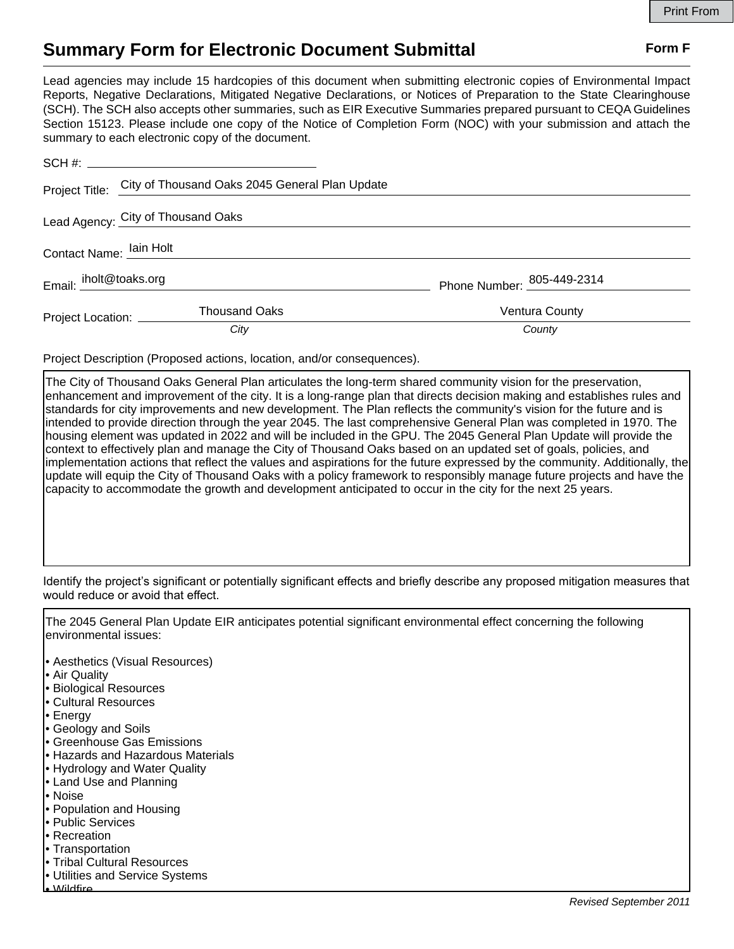## **Summary Form for Electronic Document Submittal Form F Form F**

Lead agencies may include 15 hardcopies of this document when submitting electronic copies of Environmental Impact Reports, Negative Declarations, Mitigated Negative Declarations, or Notices of Preparation to the State Clearinghouse (SCH). The SCH also accepts other summaries, such as EIR Executive Summaries prepared pursuant to CEQA Guidelines Section 15123. Please include one copy of the Notice of Completion Form (NOC) with your submission and attach the summary to each electronic copy of the document.

|                                    | Project Title: City of Thousand Oaks 2045 General Plan Update |                                   |
|------------------------------------|---------------------------------------------------------------|-----------------------------------|
| Lead Agency: City of Thousand Oaks |                                                               |                                   |
| Contact Name: lain Holt            |                                                               |                                   |
| Email: iholt@toaks.org             |                                                               | Phone Number: <u>805-449-2314</u> |
| Project Location: __________       | <b>Thousand Oaks</b>                                          | Ventura County                    |
|                                    | City                                                          | County                            |

Project Description (Proposed actions, location, and/or consequences).

The City of Thousand Oaks General Plan articulates the long-term shared community vision for the preservation, enhancement and improvement of the city. It is a long-range plan that directs decision making and establishes rules and standards for city improvements and new development. The Plan reflects the community's vision for the future and is intended to provide direction through the year 2045. The last comprehensive General Plan was completed in 1970. The housing element was updated in 2022 and will be included in the GPU. The 2045 General Plan Update will provide the context to effectively plan and manage the City of Thousand Oaks based on an updated set of goals, policies, and implementation actions that reflect the values and aspirations for the future expressed by the community. Additionally, the update will equip the City of Thousand Oaks with a policy framework to responsibly manage future projects and have the capacity to accommodate the growth and development anticipated to occur in the city for the next 25 years.

Identify the project's significant or potentially significant effects and briefly describe any proposed mitigation measures that would reduce or avoid that effect.

The 2045 General Plan Update EIR anticipates potential significant environmental effect concerning the following environmental issues:

- Aesthetics (Visual Resources)
- Air Quality
- Biological Resources
- Cultural Resources
- Energy
- Geology and Soils
- Greenhouse Gas Emissions
- Hazards and Hazardous Materials
- Hydrology and Water Quality
- Land Use and Planning
- Noise
- Population and Housing
- Public Services
- Recreation
- Transportation
- Tribal Cultural Resources
- Utilities and Service Systems
- Wildfire